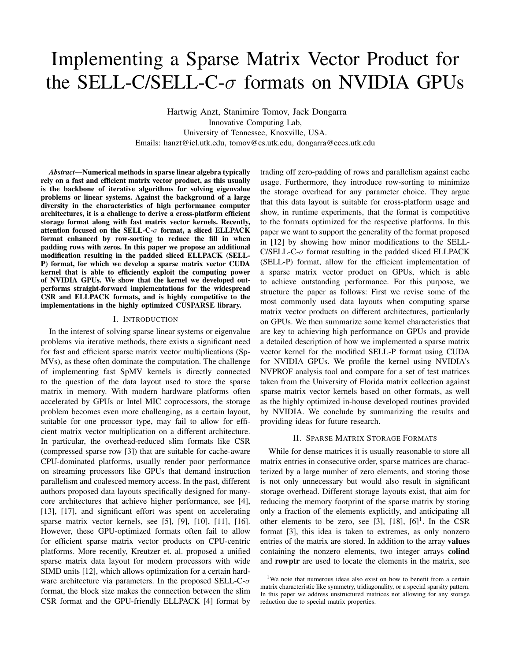# Implementing a Sparse Matrix Vector Product for the SELL-C/SELL-C- $\sigma$  formats on NVIDIA GPUs

Hartwig Anzt, Stanimire Tomov, Jack Dongarra Innovative Computing Lab, University of Tennessee, Knoxville, USA. Emails: hanzt@icl.utk.edu, tomov@cs.utk.edu, dongarra@eecs.utk.edu

*Abstract*—Numerical methods in sparse linear algebra typically rely on a fast and efficient matrix vector product, as this usually is the backbone of iterative algorithms for solving eigenvalue problems or linear systems. Against the background of a large diversity in the characteristics of high performance computer architectures, it is a challenge to derive a cross-platform efficient storage format along with fast matrix vector kernels. Recently, attention focused on the SELL-C- $\sigma$  format, a sliced ELLPACK format enhanced by row-sorting to reduce the fill in when padding rows with zeros. In this paper we propose an additional modification resulting in the padded sliced ELLPACK (SELL-P) format, for which we develop a sparse matrix vector CUDA kernel that is able to efficiently exploit the computing power of NVIDIA GPUs. We show that the kernel we developed outperforms straight-forward implementations for the widespread CSR and ELLPACK formats, and is highly competitive to the implementations in the highly optimized CUSPARSE library.

### I. INTRODUCTION

In the interest of solving sparse linear systems or eigenvalue problems via iterative methods, there exists a significant need for fast and efficient sparse matrix vector multiplications (Sp-MVs), as these often dominate the computation. The challenge of implementing fast SpMV kernels is directly connected to the question of the data layout used to store the sparse matrix in memory. With modern hardware platforms often accelerated by GPUs or Intel MIC coprocessors, the storage problem becomes even more challenging, as a certain layout, suitable for one processor type, may fail to allow for efficient matrix vector multiplication on a different architecture. In particular, the overhead-reduced slim formats like CSR (compressed sparse row [3]) that are suitable for cache-aware CPU-dominated platforms, usually render poor performance on streaming processors like GPUs that demand instruction parallelism and coalesced memory access. In the past, different authors proposed data layouts specifically designed for manycore architectures that achieve higher performance, see [4], [13], [17], and significant effort was spent on accelerating sparse matrix vector kernels, see [5], [9], [10], [11], [16]. However, these GPU-optimized formats often fail to allow for efficient sparse matrix vector products on CPU-centric platforms. More recently, Kreutzer et. al. proposed a unified sparse matrix data layout for modern processors with wide SIMD units [12], which allows optimization for a certain hardware architecture via parameters. In the proposed SELL-C- $\sigma$ format, the block size makes the connection between the slim CSR format and the GPU-friendly ELLPACK [4] format by

trading off zero-padding of rows and parallelism against cache usage. Furthermore, they introduce row-sorting to minimize the storage overhead for any parameter choice. They argue that this data layout is suitable for cross-platform usage and show, in runtime experiments, that the format is competitive to the formats optimized for the respective platforms. In this paper we want to support the generality of the format proposed in [12] by showing how minor modifications to the SELL-C/SELL-C- $\sigma$  format resulting in the padded sliced ELLPACK (SELL-P) format, allow for the efficient implementation of a sparse matrix vector product on GPUs, which is able to achieve outstanding performance. For this purpose, we structure the paper as follows: First we revise some of the most commonly used data layouts when computing sparse matrix vector products on different architectures, particularly on GPUs. We then summarize some kernel characteristics that are key to achieving high performance on GPUs and provide a detailed description of how we implemented a sparse matrix vector kernel for the modified SELL-P format using CUDA for NVIDIA GPUs. We profile the kernel using NVIDIA's NVPROF analysis tool and compare for a set of test matrices taken from the University of Florida matrix collection against sparse matrix vector kernels based on other formats, as well as the highly optimized in-house developed routines provided by NVIDIA. We conclude by summarizing the results and providing ideas for future research.

## II. SPARSE MATRIX STORAGE FORMATS

While for dense matrices it is usually reasonable to store all matrix entries in consecutive order, sparse matrices are characterized by a large number of zero elements, and storing those is not only unnecessary but would also result in significant storage overhead. Different storage layouts exist, that aim for reducing the memory footprint of the sparse matrix by storing only a fraction of the elements explicitly, and anticipating all other elements to be zero, see [3],  $[18]$ ,  $[6]$ <sup>1</sup>. In the CSR format [3], this idea is taken to extremes, as only nonzero entries of the matrix are stored. In addition to the array values containing the nonzero elements, two integer arrays colind and rowptr are used to locate the elements in the matrix, see

<sup>&</sup>lt;sup>1</sup>We note that numerous ideas also exist on how to benefit from a certain matrix characteristic like symmetry, tridiagonality, or a special sparsity pattern. In this paper we address unstructured matrices not allowing for any storage reduction due to special matrix properties.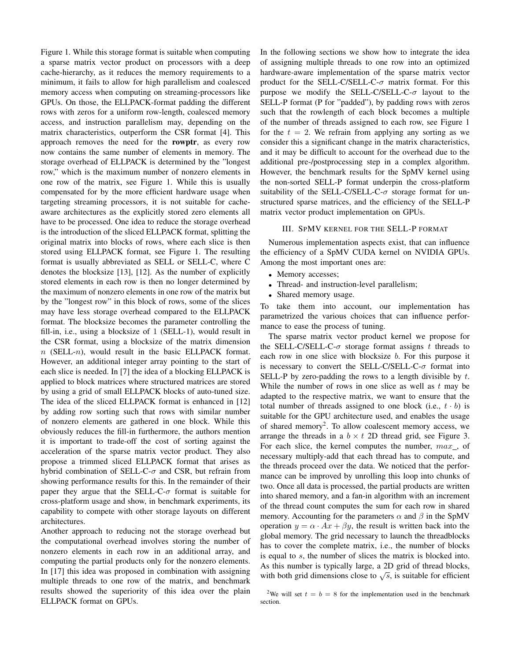Figure 1. While this storage format is suitable when computing a sparse matrix vector product on processors with a deep cache-hierarchy, as it reduces the memory requirements to a minimum, it fails to allow for high parallelism and coalesced memory access when computing on streaming-processors like GPUs. On those, the ELLPACK-format padding the different rows with zeros for a uniform row-length, coalesced memory access, and instruction parallelism may, depending on the matrix characteristics, outperform the CSR format [4]. This approach removes the need for the rowptr, as every row now contains the same number of elements in memory. The storage overhead of ELLPACK is determined by the "longest row," which is the maximum number of nonzero elements in one row of the matrix, see Figure 1. While this is usually compensated for by the more efficient hardware usage when targeting streaming processors, it is not suitable for cacheaware architectures as the explicitly stored zero elements all have to be processed. One idea to reduce the storage overhead is the introduction of the sliced ELLPACK format, splitting the original matrix into blocks of rows, where each slice is then stored using ELLPACK format, see Figure 1. The resulting format is usually abbreviated as SELL or SELL-C, where C denotes the blocksize [13], [12]. As the number of explicitly stored elements in each row is then no longer determined by the maximum of nonzero elements in one row of the matrix but by the "longest row" in this block of rows, some of the slices may have less storage overhead compared to the ELLPACK format. The blocksize becomes the parameter controlling the fill-in, i.e., using a blocksize of 1 (SELL-1), would result in the CSR format, using a blocksize of the matrix dimension  $n$  (SELL-n), would result in the basic ELLPACK format. However, an additional integer array pointing to the start of each slice is needed. In [7] the idea of a blocking ELLPACK is applied to block matrices where structured matrices are stored by using a grid of small ELLPACK blocks of auto-tuned size. The idea of the sliced ELLPACK format is enhanced in [12] by adding row sorting such that rows with similar number of nonzero elements are gathered in one block. While this obviously reduces the fill-in furthermore, the authors mention it is important to trade-off the cost of sorting against the acceleration of the sparse matrix vector product. They also propose a trimmed sliced ELLPACK format that arises as hybrid combination of SELL-C- $\sigma$  and CSR, but refrain from showing performance results for this. In the remainder of their paper they argue that the SELL-C- $\sigma$  format is suitable for cross-platform usage and show, in benchmark experiments, its capability to compete with other storage layouts on different architectures.

Another approach to reducing not the storage overhead but the computational overhead involves storing the number of nonzero elements in each row in an additional array, and computing the partial products only for the nonzero elements. In [17] this idea was proposed in combination with assigning multiple threads to one row of the matrix, and benchmark results showed the superiority of this idea over the plain ELLPACK format on GPUs.

In the following sections we show how to integrate the idea of assigning multiple threads to one row into an optimized hardware-aware implementation of the sparse matrix vector product for the SELL-C/SELL-C- $\sigma$  matrix format. For this purpose we modify the SELL-C/SELL-C- $\sigma$  layout to the SELL-P format (P for "padded"), by padding rows with zeros such that the rowlength of each block becomes a multiple of the number of threads assigned to each row, see Figure 1 for the  $t = 2$ . We refrain from applying any sorting as we consider this a significant change in the matrix characteristics, and it may be difficult to account for the overhead due to the additional pre-/postprocessing step in a complex algorithm. However, the benchmark results for the SpMV kernel using the non-sorted SELL-P format underpin the cross-platform suitability of the SELL-C/SELL-C- $\sigma$  storage format for unstructured sparse matrices, and the efficiency of the SELL-P matrix vector product implementation on GPUs.

## III. SPMV KERNEL FOR THE SELL-P FORMAT

Numerous implementation aspects exist, that can influence the efficiency of a SpMV CUDA kernel on NVIDIA GPUs. Among the most important ones are:

- Memory accesses;
- Thread- and instruction-level parallelism;
- Shared memory usage.

To take them into account, our implementation has parametrized the various choices that can influence performance to ease the process of tuning.

The sparse matrix vector product kernel we propose for the SELL-C/SELL-C- $\sigma$  storage format assigns t threads to each row in one slice with blocksize  $b$ . For this purpose it is necessary to convert the SELL-C/SELL-C- $\sigma$  format into SELL-P by zero-padding the rows to a length divisible by  $t$ . While the number of rows in one slice as well as  $t$  may be adapted to the respective matrix, we want to ensure that the total number of threads assigned to one block (i.e.,  $t \cdot b$ ) is suitable for the GPU architecture used, and enables the usage of shared memory<sup>2</sup>. To allow coalescent memory access, we arrange the threads in a  $b \times t$  2D thread grid, see Figure 3. For each slice, the kernel computes the number, max , of necessary multiply-add that each thread has to compute, and the threads proceed over the data. We noticed that the performance can be improved by unrolling this loop into chunks of two. Once all data is processed, the partial products are written into shared memory, and a fan-in algorithm with an increment of the thread count computes the sum for each row in shared memory. Accounting for the parameters  $\alpha$  and  $\beta$  in the SpMV operation  $y = \alpha \cdot Ax + \beta y$ , the result is written back into the global memory. The grid necessary to launch the threadblocks has to cover the complete matrix, i.e., the number of blocks is equal to s, the number of slices the matrix is blocked into. As this number is typically large, a 2D grid of thread blocks, As this number is typically large, a 2D grid of thread blocks,<br>with both grid dimensions close to  $\sqrt{s}$ , is suitable for efficient

<sup>&</sup>lt;sup>2</sup>We will set  $t = b = 8$  for the implementation used in the benchmark section.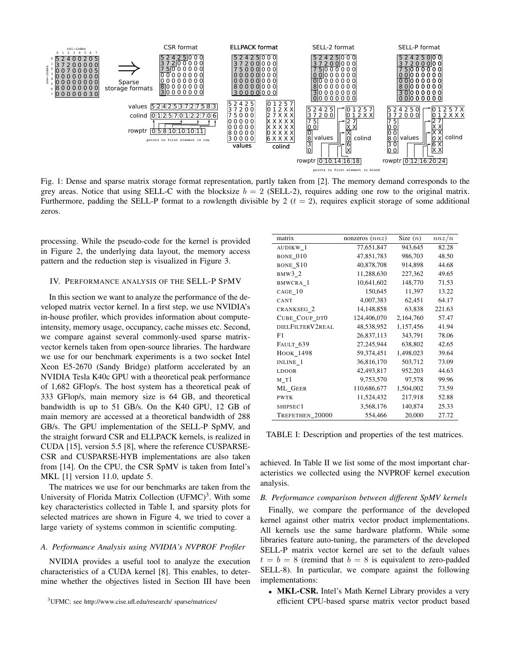

Fig. 1: Dense and sparse matrix storage format representation, partly taken from [2]. The memory demand corresponds to the grey areas. Notice that using SELL-C with the blocksize  $b = 2$  (SELL-2), requires adding one row to the original matrix. Furthermore, padding the SELL-P format to a rowlength divisible by 2  $(t = 2)$ , requires explicit storage of some additional zeros.

processing. While the pseudo-code for the kernel is provided in Figure 2, the underlying data layout, the memory access pattern and the reduction step is visualized in Figure 3.

## IV. PERFORMANCE ANALYSIS OF THE SELL-P SPMV

In this section we want to analyze the performance of the developed matrix vector kernel. In a first step, we use NVIDIA's in-house profiler, which provides information about computeintensity, memory usage, occupancy, cache misses etc. Second, we compare against several commonly-used sparse matrixvector kernels taken from open-source libraries. The hardware we use for our benchmark experiments is a two socket Intel Xeon E5-2670 (Sandy Bridge) platform accelerated by an NVIDIA Tesla K40c GPU with a theoretical peak performance of 1,682 GFlop/s. The host system has a theoretical peak of 333 GFlop/s, main memory size is 64 GB, and theoretical bandwidth is up to 51 GB/s. On the K40 GPU, 12 GB of main memory are accessed at a theoretical bandwidth of 288 GB/s. The GPU implementation of the SELL-P SpMV, and the straight forward CSR and ELLPACK kernels, is realized in CUDA [15], version 5.5 [8], where the reference CUSPARSE-CSR and CUSPARSE-HYB implementations are also taken from [14]. On the CPU, the CSR SpMV is taken from Intel's MKL [1] version 11.0, update 5.

The matrices we use for our benchmarks are taken from the University of Florida Matrix Collection (UFMC)<sup>3</sup>. With some key characteristics collected in Table I, and sparsity plots for selected matrices are shown in Figure 4, we tried to cover a large variety of systems common in scientific computing.

# *A. Performance Analysis using NVIDIA's NVPROF Profiler*

NVIDIA provides a useful tool to analyze the execution characteristics of a CUDA kernel [8]. This enables, to determine whether the objectives listed in Section III have been

| matrix                | nonzeros $(nnz)$ | Size $(n)$ | nnz/n  |
|-----------------------|------------------|------------|--------|
| AUDIKW <sub>1</sub>   | 77,651,847       | 943,645    | 82.28  |
| BONE 010              | 47,851,783       | 986,703    | 48.50  |
| BONE_S10              | 40,878,708       | 914,898    | 44.68  |
| $BMW3_2$              | 11,288,630       | 227,362    | 49.65  |
| BMWCRA 1              | 10,641,602       | 148,770    | 71.53  |
| CAGE 10               | 150,645          | 11,397     | 13.22  |
| CANT                  | 4,007,383        | 62,451     | 64.17  |
| CRANKSEG <sub>2</sub> | 14,148,858       | 63,838     | 221.63 |
| CUBE_COUP_DT0         | 124,406,070      | 2,164,760  | 57.47  |
| DIELFILTERV2REAL      | 48,538,952       | 1,157,456  | 41.94  |
| F1                    | 26,837,113       | 343,791    | 78.06  |
| FAULT 639             | 27,245,944       | 638,802    | 42.65  |
| HOOK_1498             | 59,374,451       | 1,498,023  | 39.64  |
| INLINE_1              | 36,816,170       | 503,712    | 73.09  |
| <b>LDOOR</b>          | 42,493,817       | 952,203    | 44.63  |
| M Tl                  | 9,753,570        | 97,578     | 99.96  |
| ML GEER               | 110,686,677      | 1,504,002  | 73.59  |
| <b>PWTK</b>           | 11,524,432       | 217,918    | 52.88  |
| SHIPSEC <sub>1</sub>  | 3,568,176        | 140,874    | 25.33  |
| TREFETHEN 20000       | 554,466          | 20,000     | 27.72  |
|                       |                  |            |        |

TABLE I: Description and properties of the test matrices.

achieved. In Table II we list some of the most important characteristics we collected using the NVPROF kernel execution analysis.

## *B. Performance comparison between different SpMV kernels*

Finally, we compare the performance of the developed kernel against other matrix vector product implementations. All kernels use the same hardware platform. While some libraries feature auto-tuning, the parameters of the developed SELL-P matrix vector kernel are set to the default values  $t = b = 8$  (remind that  $b = 8$  is equivalent to zero-padded SELL-8). In particular, we compare against the following implementations:

• MKL-CSR. Intel's Math Kernel Library provides a very efficient CPU-based sparse matrix vector product based

<sup>3</sup>UFMC; see http://www.cise.ufl.edu/research/ sparse/matrices/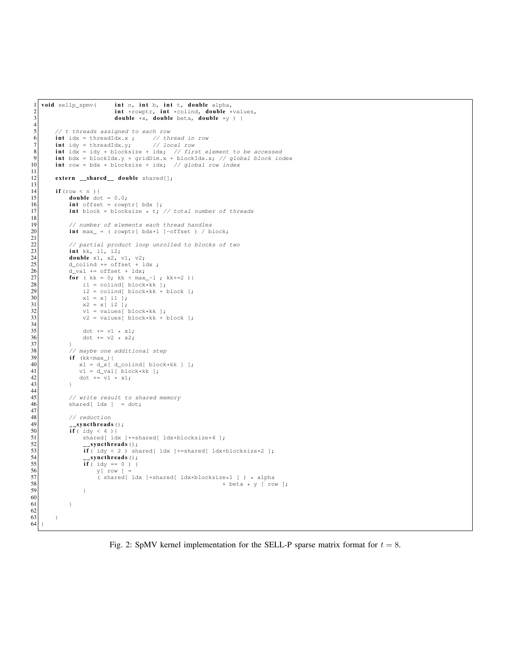```
1 void sellp_spmv( int n, int b, int t, double alpha,
 2 int *rowptr, int *colind, double *values,<br>double *x, double beta, double *y } {
                                                double *x, double beta, double *y ) {
 5 \begin{array}{c} \n5 \big) \begin{array}{c} \n7 \end{array} \begin{array}{c} \n7 \end{array} \begin{array}{c} \n7 \end{array} int idx = threadIdx.x ; \begin{array}{c} \n7 \end{array} // thread in row int idy = threadIdx.y; \begin{array}{c} \n7 \end{array} / local row
              int idx = threadIdx.x ;
 7 int idy = threadIdx.y;<br>int ldx = idy * blocks
 8 int ldx = idy * blocksize + idx; // first element to be accessed<br>9 int bdx = blockIdx.y * gridDim.x + blockIdx.x; // global block in
 9 int bdx = blockIdx.y * gridDim.x + blockIdx.x; // global block index<br>10 int row = bdx * blocksize + idx; // global row index
              extern __shared__ double shared[];
\begin{array}{c|c}\n 14 & \text{if (row < n )}\n 15 & \text{double do}\n \end{array}15 double dot = 0.0;<br>16 int offset = rowp
16 int offset = rowptr[ bdx ];<br>
int block = blocksize \star t;
                      int block = blocksize * t; // total number of threads
19 \vert // number of elements each thread handles<br>20 int max_ = ( rowptr[ bdx+1 ]-offset ) / b.
                      int max_{-} = ( rowptr[ bdx+1 ]-offset ) / block;
22 // partial product loop unrolled to blocks of two 23 int kk, il, i2;
\begin{array}{c|c}\n 23 \\
 24\n \end{array} int kk, i1, i2;<br>
double x1, x2,
24 double x1, x2, v1, v2;<br>25 d_colind += offset + 1
25 d_colind += offset + ldx ;<br>
d_val += offset + ldx;
\begin{array}{c|c}\n\text{26} \\
\text{27} \\
\text{28} \\
\text{29}\n\end{array} += offset + ldx;<br>\begin{array}{c}\n\text{d}_\text{val} & \text{if } \text{d}_\text{val} \\
\text{for } (\text{kk} = 0; \text{kk} < \text{max})\n\end{array}27 for ( kk = 0; kk < max_-1 ; kk+=2 ) {<br>
28 i1 = colind[ block*kk ];
28 \begin{array}{c} \text{if } 2 \text{ is } 1 \text{ and } 2 \text{ is } 2 \text{ is } 2 \text{ is } 2 \text{ is } 2 \text{ is } 2 \text{ is } 2 \text{ is } 2 \text{ is } 2 \text{ is } 2 \text{ is } 2 \text{ is } 2 \text{ is } 2 \text{ is } 2 \text{ is } 2 \text{ is } 2 \text{ is } 2 \text{ is } 2 \text{ is } 2 \text{ is } 2 \text{ is } 2 \text{ is } 2 \text{ is } 2 \text{ is } 2 \text{ is } 2 \text{ is } 2 \text{ is } 2 \text{ is } 229 i2 = \text{colind} [\text{block+kk + block}];<br>30 x1 = x[i];
\begin{array}{c|c}\n 30 \\
 31 \\
 x2 = x[i1];\n\end{array}31 x^2 = x[i2];<br>32 v1 = \text{values}[\text{block+kk}];\begin{array}{c} \text{33} \\ \text{32} \end{array} v2 = values [block*kk + block ];
                             dot += v1 * x1;
                     dot += v2 \div x2;38 \left/ maybe one additional step<br>39 \qquad if (kk<max_){
39 if (kk < max {<br>40 x1 = d_x {
40 x1 = d_x(d_{coll}) \cdot d_x = d_x(d_x)<br>
y1 = d_x d_x = d_x d_x41 \begin{bmatrix} v1 = d_val[ block*k]; \\ 42 \end{bmatrix}\det + = \overline{v1} + x1;45 // write result to shared memory<br>46 shared [ ldx ] = dot;shared[ ldx ] = dot;
48 // reduction<br>49 __syncthreads<br>50 if (idy < 4)
 49 syncthreads();<br>50 if ( idy < 4 ){<br>51 shared[ ldx ]+=shared[ ldx+blocksize*4 ];
 52 syncthreads();<br>
53 if ( idy < 2 ) shared[ ldx ]+=shared[ ldx+blocksize*2 ];
54 \begin{array}{c} \text{--symchreads ()}; \\ \text{if } (\text{ idy == 0}) \end{array}55 \left| \begin{array}{ccc} 55 & \text{if } (\text{idy } == 0) \\ 56 & \text{if } (\text{row } ] = 0 \end{array} \right|\begin{array}{c|c} 56 & \text{y} \text{row} \end{array} = \begin{array}{c} 57 \text{norm} \\ 57 \end{array}57 ( shared[ ldx ]+shared[ ldx+blocksize*1 ] ) * alpha<br>58 + beta * y [ ro
                             + \text{ beta } * \text{ y } [ \text{ row } ] \text{;}61 }
62
63 }
64 }
```
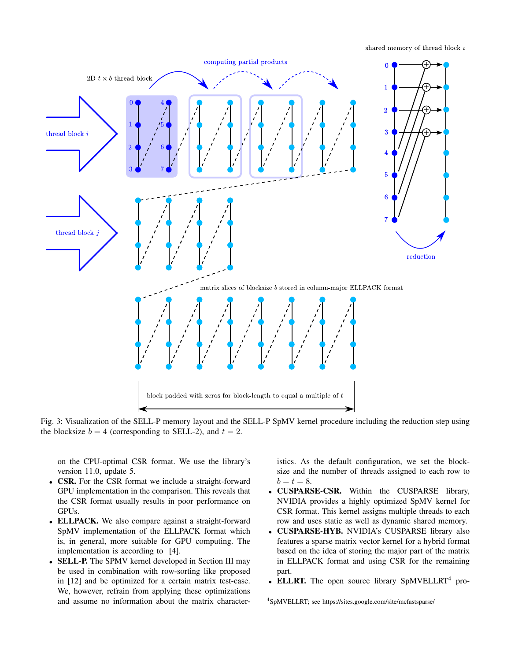shared memory of thread block  $i$ 



Fig. 3: Visualization of the SELL-P memory layout and the SELL-P SpMV kernel procedure including the reduction step using the blocksize  $b = 4$  (corresponding to SELL-2), and  $t = 2$ .

on the CPU-optimal CSR format. We use the library's version 11.0, update 5.

- CSR. For the CSR format we include a straight-forward GPU implementation in the comparison. This reveals that the CSR format usually results in poor performance on GPUs.
- ELLPACK. We also compare against a straight-forward SpMV implementation of the ELLPACK format which is, in general, more suitable for GPU computing. The implementation is according to [4].
- **SELL-P.** The SPMV kernel developed in Section III may be used in combination with row-sorting like proposed in [12] and be optimized for a certain matrix test-case. We, however, refrain from applying these optimizations and assume no information about the matrix character-

istics. As the default configuration, we set the blocksize and the number of threads assigned to each row to  $b = t = 8.$ 

- CUSPARSE-CSR. Within the CUSPARSE library, NVIDIA provides a highly optimized SpMV kernel for CSR format. This kernel assigns multiple threads to each row and uses static as well as dynamic shared memory.
- CUSPARSE-HYB. NVIDIA's CUSPARSE library also features a sparse matrix vector kernel for a hybrid format based on the idea of storing the major part of the matrix in ELLPACK format and using CSR for the remaining part.
- ELLRT. The open source library SpMVELLRT<sup>4</sup> pro-

<sup>4</sup>SpMVELLRT; see https://sites.google.com/site/mcfastsparse/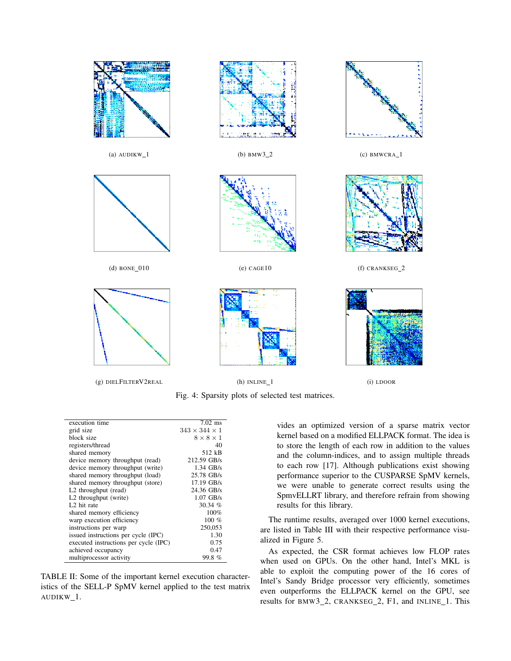

Fig. 4: Sparsity plots of selected test matrices.

| execution time                        | $7.02$ ms                 |
|---------------------------------------|---------------------------|
| grid size                             | $343 \times 344 \times 1$ |
| block size                            | $8 \times 8 \times 1$     |
| registers/thread                      | 40                        |
| shared memory                         | 512 kB                    |
| device memory throughput (read)       | 212.59 GB/s               |
| device memory throughput (write)      | $1.34$ GB/s               |
| shared memory throughput (load)       | 25.78 GB/s                |
| shared memory throughput (store)      | $17.19$ GB/s              |
| L <sub>2</sub> throughput (read)      | 24.36 GB/s                |
| L <sub>2</sub> throughput (write)     | $1.07$ GB/s               |
| L <sub>2</sub> hit rate               | 30.34 $%$                 |
| shared memory efficiency              | 100%                      |
| warp execution efficiency             | 100 $%$                   |
| instructions per warp                 | 250,053                   |
| issued instructions per cycle (IPC)   | 1.30                      |
| executed instructions per cycle (IPC) | 0.75                      |
| achieved occupancy                    | 0.47                      |
| multiprocessor activity               | 99.8%                     |
|                                       |                           |

TABLE II: Some of the important kernel execution characteristics of the SELL-P SpMV kernel applied to the test matrix AUDIKW\_1.

vides an optimized version of a sparse matrix vector kernel based on a modified ELLPACK format. The idea is to store the length of each row in addition to the values and the column-indices, and to assign multiple threads to each row [17]. Although publications exist showing performance superior to the CUSPARSE SpMV kernels, we were unable to generate correct results using the SpmvELLRT library, and therefore refrain from showing results for this library.

The runtime results, averaged over 1000 kernel executions, are listed in Table III with their respective performance visualized in Figure 5.

As expected, the CSR format achieves low FLOP rates when used on GPUs. On the other hand, Intel's MKL is able to exploit the computing power of the 16 cores of Intel's Sandy Bridge processor very efficiently, sometimes even outperforms the ELLPACK kernel on the GPU, see results for BMW3\_2, CRANKSEG\_2, F1, and INLINE\_1. This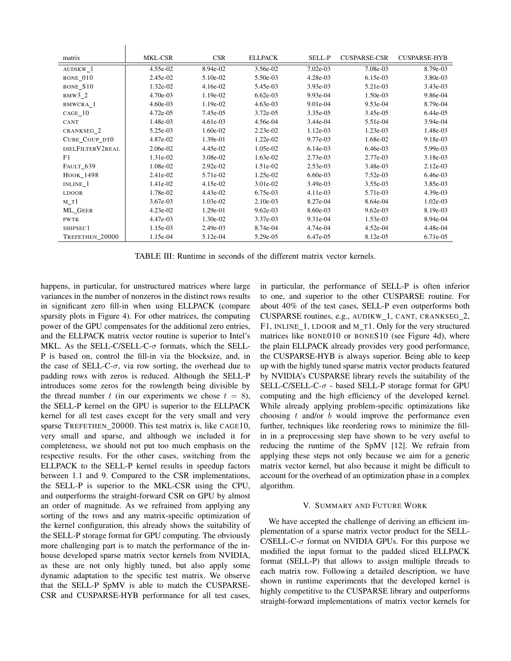| matrix           | MKL-CSR    | <b>CSR</b> | <b>ELLPACK</b> | SELL-P     | <b>CUSPARSE-CSR</b> | <b>CUSPARSE-HYB</b> |
|------------------|------------|------------|----------------|------------|---------------------|---------------------|
| AUDIKW 1         | 4.55e-02   | 8.94e-02   | 3.56e-02       | 7.02e-03   | 7.08e-03            | 8.79e-03            |
| BONE_010         | 2.45e-02   | 5.10e-02   | 5.50e-03       | 4.28e-03   | $6.15e-03$          | 3.80e-03            |
| BONE S10         | 1.32e-02   | 4.16e-02   | 5.45e-03       | $3.93e-03$ | 5.21e-03            | 3.43e-03            |
| $BMW3_2$         | 4.70e-03   | 1.19e-02   | $6.62e-03$     | 9.93e-04   | 1.50e-03            | 9.86e-04            |
| BMWCRA 1         | $4.60e-03$ | 1.19e-02   | $4.63e-03$     | 9.01e-04   | 9.53e-04            | 8.79e-04            |
| $CAGE_10$        | 4.72e-05   | 7.45e-05   | 3.72e-05       | 3.35e-05   | 3.45e-05            | 6.44e-05            |
| CANT             | 1.48e-03   | 4.61e-03   | 4.56e-04       | 3.44e-04   | 5.51e-04            | 3.94e-04            |
| CRANKSEG_2       | 5.25e-03   | 1.60e-02   | $2.23e-02$     | $1.12e-03$ | 1.23e-03            | 1.48e-03            |
| CUBE COUP DTO    | 4.87e-02   | 1.39e-01   | 1.22e-02       | 9.77e-03   | 1.68e-02            | 9.18e-03            |
| DIELFILTERV2REAL | 2.06e-02   | 4.45e-02   | 1.05e-02       | $6.14e-03$ | $6.46e-03$          | 5.99e-03            |
| F1               | 1.31e-02   | 3.08e-02   | 1.63e-02       | 2.73e-03   | 2.77e-03            | 3.18e-03            |
| FAULT_639        | 1.08e-02   | $2.92e-02$ | 1.51e-02       | $2.53e-03$ | 3.48e-03            | 2.12e-03            |
| HOOK_1498        | 2.41e-02   | 5.71e-02   | 1.25e-02       | $6.60e-03$ | $7.52e-03$          | 6.46e-03            |
| INLINE 1         | 1.41e-02   | 4.15e-02   | 3.01e-02       | 3.49e-03   | 3.55e-03            | 3.85e-03            |
| <b>LDOOR</b>     | 1.78e-02   | 4.43e-02   | 6.75e-03       | 4.11e-03   | 5.71e-03            | 4.39e-03            |
| $M_T1$           | 3.67e-03   | 1.03e-02   | 2.10e-03       | 8.27e-04   | 8.64e-04            | 1.02e-03            |
| ML_GEER          | $4.23e-02$ | 1.29e-01   | $9.62e-03$     | 8.60e-03   | $9.62e-03$          | 8.19e-03            |
| <b>PWTK</b>      | 4.47e-03   | 1.30e-02   | 3.37e-03       | 9.31e-04   | 1.53e-03            | 8.94e-04            |
| SHIPSEC1         | 1.15e-03   | 2.49e-03   | 8.74e-04       | 4.74e-04   | 4.52e-04            | 4.48e-04            |
| TREFETHEN 20000  | 1.15e-04   | 5.12e-04   | 5.29e-05       | 6.47e-05   | 8.12e-05            | 6.71e-05            |

TABLE III: Runtime in seconds of the different matrix vector kernels.

happens, in particular, for unstructured matrices where large variances in the number of nonzeros in the distinct rows results in significant zero fill-in when using ELLPACK (compare sparsity plots in Figure 4). For other matrices, the computing power of the GPU compensates for the additional zero entries, and the ELLPACK matrix vector routine is superior to Intel's MKL. As the SELL-C/SELL-C- $\sigma$  formats, which the SELL-P is based on, control the fill-in via the blocksize, and, in the case of SELL-C- $\sigma$ , via row sorting, the overhead due to padding rows with zeros is reduced. Although the SELL-P introduces some zeros for the rowlength being divisible by the thread number t (in our experiments we chose  $t = 8$ ), the SELL-P kernel on the GPU is superior to the ELLPACK kernel for all test cases except for the very small and very sparse TREFETHEN\_20000. This test matrix is, like CAGE10, very small and sparse, and although we included it for completeness, we should not put too much emphasis on the respective results. For the other cases, switching from the ELLPACK to the SELL-P kernel results in speedup factors between 1.1 and 9. Compared to the CSR implementations, the SELL-P is superior to the MKL-CSR using the CPU, and outperforms the straight-forward CSR on GPU by almost an order of magnitude. As we refrained from applying any sorting of the rows and any matrix-specific optimization of the kernel configuration, this already shows the suitability of the SELL-P storage format for GPU computing. The obviously more challenging part is to match the performance of the inhouse developed sparse matrix vector kernels from NVIDIA, as these are not only highly tuned, but also apply some dynamic adaptation to the specific test matrix. We observe that the SELL-P SpMV is able to match the CUSPARSE-CSR and CUSPARSE-HYB performance for all test cases,

 $\mathbf{I}$ 

in particular, the performance of SELL-P is often inferior to one, and superior to the other CUSPARSE routine. For about 40% of the test cases, SELL-P even outperforms both CUSPARSE routines, e.g., AUDIKW\_1, CANT, CRANKSEG\_2, F1, INLINE\_1, LDOOR and M\_T1. Only for the very structured matrices like BONE010 or BONES10 (see Figure 4d), where the plain ELLPACK already provides very good performance, the CUSPARSE-HYB is always superior. Being able to keep up with the highly tuned sparse matrix vector products featured by NVIDIA's CUSPARSE library revels the suitability of the SELL-C/SELL-C-σ - based SELL-P storage format for GPU computing and the high efficiency of the developed kernel. While already applying problem-specific optimizations like choosing  $t$  and/or  $b$  would improve the performance even further, techniques like reordering rows to minimize the fillin in a preprocessing step have shown to be very useful to reducing the runtime of the SpMV [12]. We refrain from applying these steps not only because we aim for a generic matrix vector kernel, but also because it might be difficult to account for the overhead of an optimization phase in a complex algorithm.

# V. SUMMARY AND FUTURE WORK

We have accepted the challenge of deriving an efficient implementation of a sparse matrix vector product for the SELL-C/SELL-C- $\sigma$  format on NVIDIA GPUs. For this purpose we modified the input format to the padded sliced ELLPACK format (SELL-P) that allows to assign multiple threads to each matrix row. Following a detailed description, we have shown in runtime experiments that the developed kernel is highly competitive to the CUSPARSE library and outperforms straight-forward implementations of matrix vector kernels for